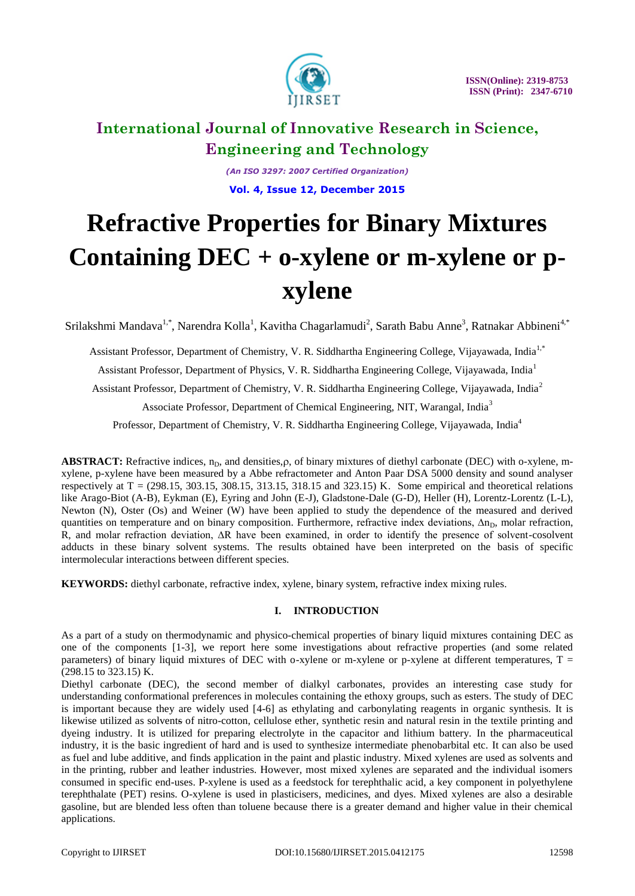

*(An ISO 3297: 2007 Certified Organization)* **Vol. 4, Issue 12, December 2015**

# **Refractive Properties for Binary Mixtures Containing DEC + o-xylene or m-xylene or pxylene**

Srilakshmi Mandava<sup>1,\*</sup>, Narendra Kolla<sup>1</sup>, Kavitha Chagarlamudi<sup>2</sup>, Sarath Babu Anne<sup>3</sup>, Ratnakar Abbineni<sup>4,\*</sup>

Assistant Professor, Department of Chemistry, V. R. Siddhartha Engineering College, Vijayawada, India1,\* Assistant Professor, Department of Physics, V. R. Siddhartha Engineering College, Vijayawada, India<sup>1</sup> Assistant Professor, Department of Chemistry, V. R. Siddhartha Engineering College, Vijayawada, India<sup>2</sup> Associate Professor, Department of Chemical Engineering, NIT, Warangal, India<sup>3</sup>

Professor, Department of Chemistry, V. R. Siddhartha Engineering College, Vijayawada, India<sup>4</sup>

ABSTRACT: Refractive indices, n<sub>D</sub>, and densities,  $\rho$ , of binary mixtures of diethyl carbonate (DEC) with o-xylene, mxylene, p-xylene have been measured by a Abbe refractometer and Anton Paar DSA 5000 density and sound analyser respectively at  $T = (298.15, 303.15, 308.15, 313.15, 318.15, and 323.15)$  K. Some empirical and theoretical relations like Arago-Biot (A-B), Eykman (E), Eyring and John (E-J), Gladstone-Dale (G-D), Heller (H), Lorentz-Lorentz (L-L), Newton (N), Oster (Os) and Weiner (W) have been applied to study the dependence of the measured and derived quantities on temperature and on binary composition. Furthermore, refractive index deviations,  $\Delta n_D$ , molar refraction, R, and molar refraction deviation, ∆R have been examined, in order to identify the presence of solvent-cosolvent adducts in these binary solvent systems. The results obtained have been interpreted on the basis of specific intermolecular interactions between different species.

**KEYWORDS:** diethyl carbonate, refractive index, xylene, binary system, refractive index mixing rules.

### **I. INTRODUCTION**

As a part of a study on thermodynamic and physico-chemical properties of binary liquid mixtures containing DEC as one of the components [1-3], we report here some investigations about refractive properties (and some related parameters) of binary liquid mixtures of DEC with o-xylene or m-xylene or p-xylene at different temperatures,  $T =$ (298.15 to 323.15) K.

Diethyl carbonate (DEC), the second member of dialkyl carbonates, provides an interesting case study for understanding conformational preferences in molecules containing the ethoxy groups, such as esters. The study of DEC is important because they are widely used [4-6] as ethylating and carbonylating reagents in organic synthesis. It is likewise utilized as solvents of nitro-cotton, cellulose ether, synthetic resin and natural resin in the textile printing and dyeing industry. It is utilized for preparing electrolyte in the capacitor and lithium battery. In the pharmaceutical industry, it is the basic ingredient of hard and is used to synthesize intermediate phenobarbital etc. It can also be used as fuel and lube additive, and finds application in the paint and plastic industry. Mixed xylenes are used as solvents and in the printing, rubber and leather industries. However, most mixed xylenes are separated and the individual isomers consumed in specific end-uses. P-xylene is used as a feedstock for terephthalic acid, a key component in polyethylene terephthalate (PET) resins. O-xylene is used in plasticisers, medicines, and dyes. Mixed xylenes are also a desirable gasoline, but are blended less often than toluene because there is a greater demand and higher value in their chemical applications.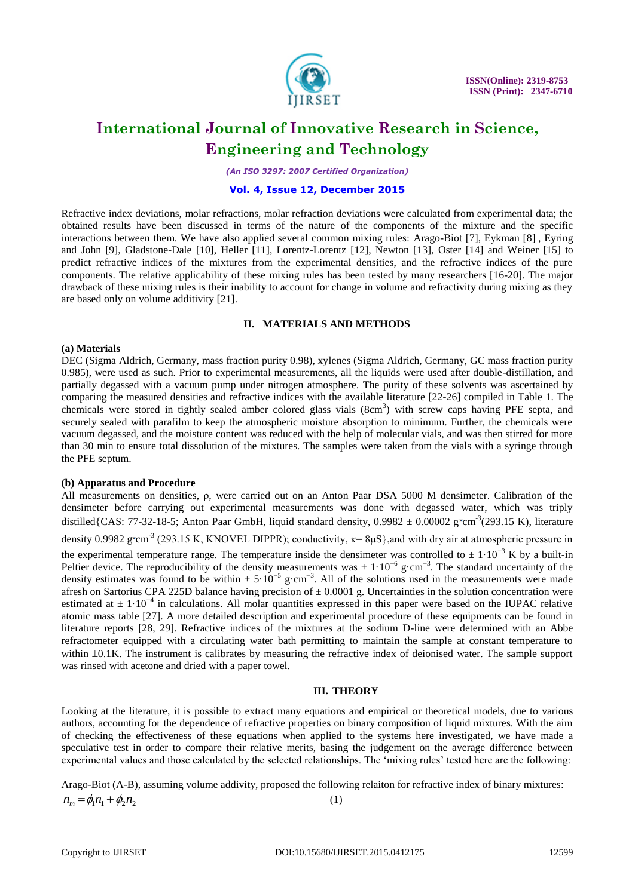

*(An ISO 3297: 2007 Certified Organization)*

### **Vol. 4, Issue 12, December 2015**

Refractive index deviations, molar refractions, molar refraction deviations were calculated from experimental data; the obtained results have been discussed in terms of the nature of the components of the mixture and the specific interactions between them. We have also applied several common mixing rules: Arago-Biot [7], Eykman [8] , Eyring and John [9], Gladstone-Dale [10], Heller [11], Lorentz-Lorentz [12], Newton [13], Oster [14] and Weiner [15] to predict refractive indices of the mixtures from the experimental densities, and the refractive indices of the pure components. The relative applicability of these mixing rules has been tested by many researchers [16-20]. The major drawback of these mixing rules is their inability to account for change in volume and refractivity during mixing as they are based only on volume additivity [21].

#### **II. MATERIALS AND METHODS**

#### **(a) Materials**

DEC (Sigma Aldrich, Germany, mass fraction purity 0.98), xylenes (Sigma Aldrich, Germany, GC mass fraction purity 0.985), were used as such. Prior to experimental measurements, all the liquids were used after double-distillation, and partially degassed with a vacuum pump under nitrogen atmosphere. The purity of these solvents was ascertained by comparing the measured densities and refractive indices with the available literature [22-26] compiled in Table 1. The chemicals were stored in tightly sealed amber colored glass vials (8cm<sup>3</sup>) with screw caps having PFE septa, and securely sealed with parafilm to keep the atmospheric moisture absorption to minimum. Further, the chemicals were vacuum degassed, and the moisture content was reduced with the help of molecular vials, and was then stirred for more than 30 min to ensure total dissolution of the mixtures. The samples were taken from the vials with a syringe through the PFE septum.

### **(b) Apparatus and Procedure**

All measurements on densities, ρ, were carried out on an Anton Paar DSA 5000 M densimeter. Calibration of the densimeter before carrying out experimental measurements was done with degassed water, which was triply distilled {CAS: 77-32-18-5; Anton Paar GmbH, liquid standard density,  $0.9982 \pm 0.00002$  g $\text{cm}^3$ (293.15 K), literature density 0.9982 g cm<sup>-3</sup> (293.15 K, KNOVEL DIPPR); conductivity,  $\kappa$ = 8 $\mu$ S}, and with dry air at atmospheric pressure in the experimental temperature range. The temperature inside the densimeter was controlled to  $\pm 1\cdot 10^{-3}$  K by a built-in Peltier device. The reproducibility of the density measurements was  $\pm 1.10^{-6}$  g·cm<sup>-3</sup>. The standard uncertainty of the density estimates was found to be within  $\pm 5.10^{-5}$  g·cm<sup>-3</sup>. All of the solutions used in the measurements were made afresh on Sartorius CPA 225D balance having precision of  $\pm$  0.0001 g. Uncertainties in the solution concentration were estimated at  $\pm 1.10^{-4}$  in calculations. All molar quantities expressed in this paper were based on the IUPAC relative atomic mass table [27]. A more detailed description and experimental procedure of these equipments can be found in literature reports [28, 29]. Refractive indices of the mixtures at the sodium D-line were determined with an Abbe refractometer equipped with a circulating water bath permitting to maintain the sample at constant temperature to within  $\pm 0.1$ K. The instrument is calibrates by measuring the refractive index of deionised water. The sample support was rinsed with acetone and dried with a paper towel.

### **III. THEORY**

Looking at the literature, it is possible to extract many equations and empirical or theoretical models, due to various authors, accounting for the dependence of refractive properties on binary composition of liquid mixtures. With the aim of checking the effectiveness of these equations when applied to the systems here investigated, we have made a speculative test in order to compare their relative merits, basing the judgement on the average difference between experimental values and those calculated by the selected relationships. The "mixing rules" tested here are the following:

Arago-Biot (A-B), assuming volume addivity, proposed the following relaiton for refractive index of binary mixtures:  $n_{m} = \phi_{1} n_{1} + \phi_{2} n_{2}$ (1)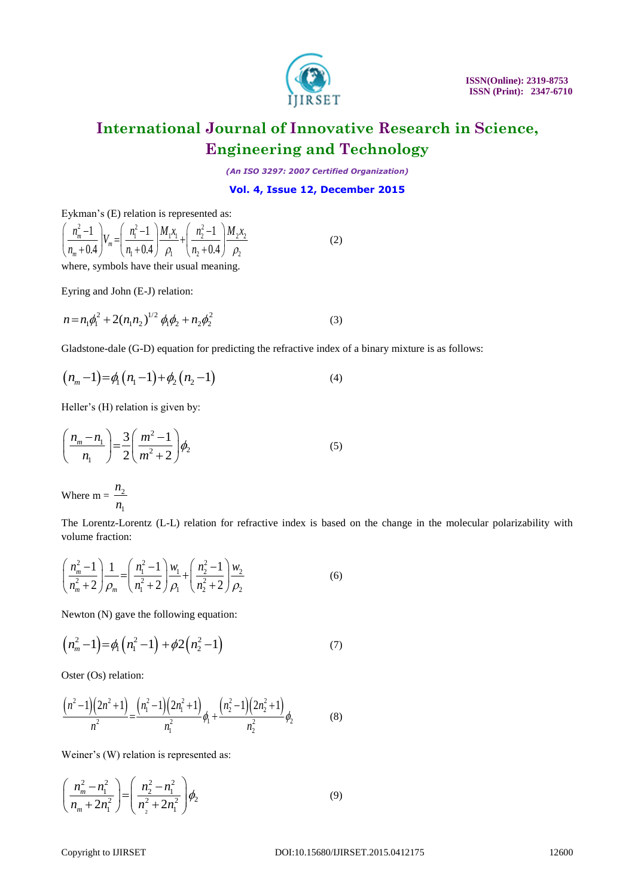

*(An ISO 3297: 2007 Certified Organization)*

### **Vol. 4, Issue 12, December 2015**

Eykman's (E) relation is represented as:  
\n
$$
\left(\frac{n_m^2 - 1}{n_m + 0.4}\right) V_m = \left(\frac{n_1^2 - 1}{n_1 + 0.4}\right) \frac{M_1 x_1}{\rho_1} + \left(\frac{n_2^2 - 1}{n_2 + 0.4}\right) \frac{M_2 x_2}{\rho_2}
$$
\n(2)

where, symbols have their usual meaning.

Eyring and John (E-J) relation:

$$
n = n_1 \phi_1^2 + 2(n_1 n_2)^{1/2} \phi_1 \phi_2 + n_2 \phi_2^2
$$
 (3)

Gladstone-dale (G-D) equation for predicting the refractive index of a binary mixture is as follows:

$$
(n_m-1)=\phi_1(n_1-1)+\phi_2(n_2-1)
$$
\n(4)

Heller's (H) relation is given by:

$$
\left(\frac{n_m - n_1}{n_1}\right) = \frac{3}{2} \left(\frac{m^2 - 1}{m^2 + 2}\right) \phi_2
$$
 (5)

Where m =  $\frac{n_2}{n_1}$  $n_{1}$ 

The Lorentz-Lorentz (L-L) relation for refractive index is based on the change in the molecular polarizability with volume fraction:

$$
\left(\frac{n_m^2 - 1}{n_m^2 + 2}\right) \frac{1}{\rho_m} = \left(\frac{n_1^2 - 1}{n_1^2 + 2}\right) \frac{w_1}{\rho_1} + \left(\frac{n_2^2 - 1}{n_2^2 + 2}\right) \frac{w_2}{\rho_2}
$$
\n(6)

Newton (N) gave the following equation:

$$
(n_m^2 - 1) = \phi_1(n_1^2 - 1) + \phi_2(n_2^2 - 1) \tag{7}
$$

Oster (Os) relation:

$$
\frac{\left(n^2-1\right)\left(2n^2+1\right)}{n^2} = \frac{\left(n_1^2-1\right)\left(2n_1^2+1\right)}{n_1^2}\phi_1 + \frac{\left(n_2^2-1\right)\left(2n_2^2+1\right)}{n_2^2}\phi_2 \tag{8}
$$

Weiner's (W) relation is represented as:

$$
\left(\frac{n_m^2 - n_1^2}{n_m + 2n_1^2}\right) = \left(\frac{n_2^2 - n_1^2}{n_2^2 + 2n_1^2}\right)\phi_2\tag{9}
$$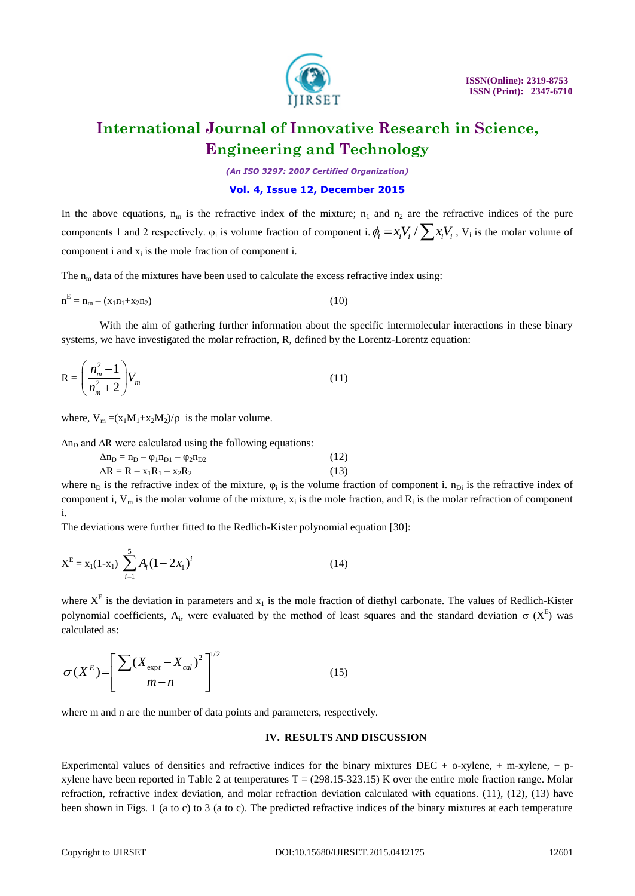

*(An ISO 3297: 2007 Certified Organization)*

### **Vol. 4, Issue 12, December 2015**

In the above equations,  $n_m$  is the refractive index of the mixture;  $n_1$  and  $n_2$  are the refractive indices of the pure components 1 and 2 respectively.  $\varphi_i$  is volume fraction of component i.  $\phi_i = x_i V_i / \sum x_i V_i$ ,  $V_i$  is the molar volume of component i and  $x_i$  is the mole fraction of component i.

The  $n_m$  data of the mixtures have been used to calculate the excess refractive index using:

$$
n^{E} = n_{m} - (x_{1}n_{1} + x_{2}n_{2})
$$
\n(10)

With the aim of gathering further information about the specific intermolecular interactions in these binary systems, we have investigated the molar refraction, R, defined by the Lorentz-Lorentz equation:

$$
R = \left(\frac{n_m^2 - 1}{n_m^2 + 2}\right) V_m \tag{11}
$$

where,  $V_m = (x_1M_1+x_2M_2)/\rho$  is the molar volume.

 $\Delta n_D$  and  $\Delta R$  were calculated using the following equations:

$$
\Delta n_{D} = n_{D} - \varphi_{1} n_{D1} - \varphi_{2} n_{D2}
$$
\n
$$
\Delta R = R - x_{1} R_{1} - x_{2} R_{2}
$$
\n(12)

where  $n_D$  is the refractive index of the mixture,  $\varphi_i$  is the volume fraction of component i.  $n_{Di}$  is the refractive index of component i,  $V_m$  is the molar volume of the mixture,  $x_i$  is the mole fraction, and  $R_i$  is the molar refraction of component i.

The deviations were further fitted to the Redlich-Kister polynomial equation [30]:

$$
X^{E} = x_{1}(1-x_{1}) \sum_{i=1}^{5} A_{i} (1-2x_{1})^{i}
$$
 (14)

where  $X^E$  is the deviation in parameters and  $x_1$  is the mole fraction of diethyl carbonate. The values of Redlich-Kister polynomial coefficients, A<sub>i</sub>, were evaluated by the method of least squares and the standard deviation  $\sigma$  (X<sup>E</sup>) was calculated as:

$$
\sigma(X^{E}) = \left[\frac{\sum (X_{\text{expt}} - X_{\text{cal}})^{2}}{m - n}\right]^{1/2}
$$
\n(15)

where m and n are the number of data points and parameters, respectively.

#### **IV. RESULTS AND DISCUSSION**

Experimental values of densities and refractive indices for the binary mixtures DEC + o-xylene, + m-xylene, + pxylene have been reported in Table 2 at temperatures  $T = (298.15-323.15)$  K over the entire mole fraction range. Molar refraction, refractive index deviation, and molar refraction deviation calculated with equations. (11), (12), (13) have been shown in Figs. 1 (a to c) to 3 (a to c). The predicted refractive indices of the binary mixtures at each temperature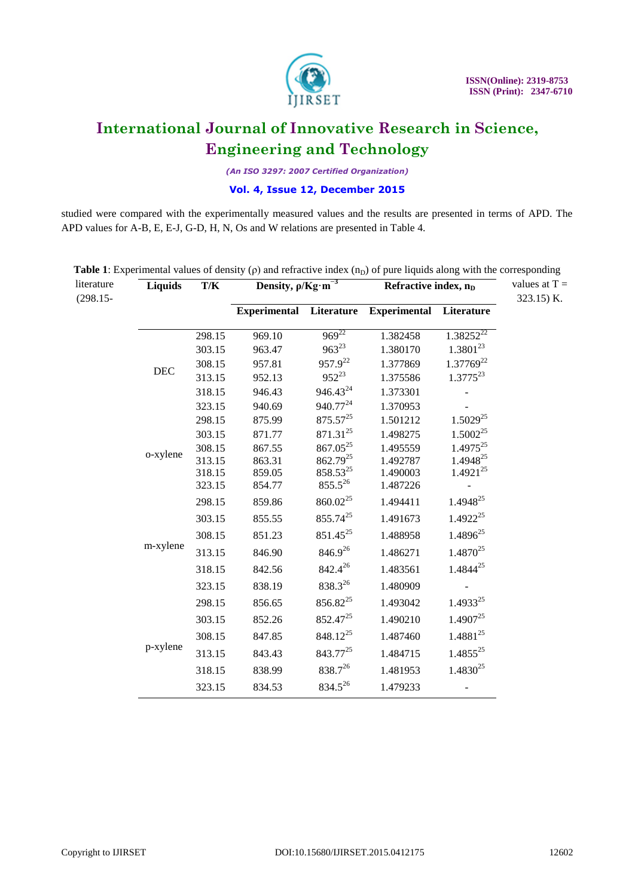

*(An ISO 3297: 2007 Certified Organization)*

### **Vol. 4, Issue 12, December 2015**

studied were compared with the experimentally measured values and the results are presented in terms of APD. The APD values for A-B, E, E-J, G-D, H, N, Os and W relations are presented in Table 4.

|                                                                  | Refractive index, $nD$ |
|------------------------------------------------------------------|------------------------|
| <b>Experimental</b><br><b>Experimental Literature</b>            | Literature             |
| $969^{22}$<br>969.10<br>1.382458<br>298.15                       | $1.38252^{22}$         |
| $963^{23}$<br>1.380170<br>303.15<br>963.47                       | 1.3801 <sup>23</sup>   |
| 957.9 <sup>22</sup><br>308.15<br>957.81<br>1.377869              | 1.37769 <sup>22</sup>  |
| DEC<br>$952^{23}$<br>313.15<br>952.13<br>1.375586                | $1.3775^{23}$          |
| 946.43 <sup>24</sup><br>318.15<br>946.43<br>1.373301             |                        |
| 940.77 <sup>24</sup><br>323.15<br>940.69<br>1.370953             |                        |
| $875.57^{25}$<br>298.15<br>875.99<br>1.501212                    | $1.5029^{25}$          |
| 871.31 <sup>25</sup><br>303.15<br>871.77<br>1.498275             | $1.5002^{25}$          |
| 867.05 <sup>25</sup><br>1.495559<br>308.15<br>867.55<br>o-xylene | $1.4975^{25}$          |
| 862.79 <sup>25</sup><br>313.15<br>1.492787<br>863.31             | 1.4948 <sup>25</sup>   |
| 858.5325<br>1.490003<br>318.15<br>859.05<br>$855.5^{26}$         | $1.4921^{25}$          |
| 323.15<br>854.77<br>1.487226                                     |                        |
| 860.02 <sup>25</sup><br>859.86<br>1.494411<br>298.15             | 1.4948 <sup>25</sup>   |
| 855.74 <sup>25</sup><br>855.55<br>1.491673<br>303.15             | $1.4922^{25}$          |
| 851.45 <sup>25</sup><br>308.15<br>851.23<br>1.488958             | $1.4896^{25}$          |
| m-xylene<br>846.926<br>313.15<br>846.90<br>1.486271              | $1.4870^{25}$          |
| 842.4 <sup>26</sup><br>1.483561<br>318.15<br>842.56              | 1.4844 <sup>25</sup>   |
| 838.326<br>838.19<br>323.15<br>1.480909                          |                        |
| 856.82 <sup>25</sup><br>298.15<br>856.65<br>1.493042             | 1.493325               |
| 852.47 <sup>25</sup><br>1.490210<br>303.15<br>852.26             | $1.4907^{25}$          |
| 848.12 <sup>25</sup><br>847.85<br>1.487460<br>308.15             | $1.4881^{25}$          |
| p-xylene<br>843.77 <sup>25</sup><br>843.43<br>1.484715<br>313.15 | $1.4855^{25}$          |
| 838.726<br>1.481953<br>318.15<br>838.99                          | $1.4830^{25}$          |
| $834.5^{26}$<br>834.53<br>1.479233<br>323.15                     |                        |

**Table 1**: Experimental values of density  $(\rho)$  and refractive index  $(n_D)$  of pure liquids along with the corresponding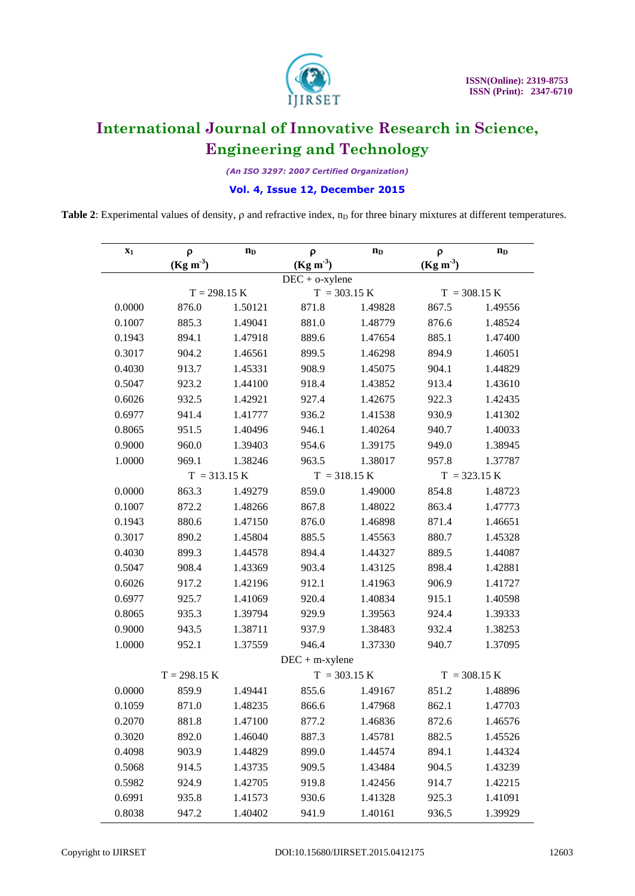

*(An ISO 3297: 2007 Certified Organization)*

### **Vol. 4, Issue 12, December 2015**

**Table 2**: Experimental values of density,  $\rho$  and refractive index,  $n<sub>D</sub>$  for three binary mixtures at different temperatures.

| $\mathbf{x}_1$ | $\rho$         | $\mathbf{n}_{\mathbf{D}}$ | ρ                               | $n_{D}$        | ρ              | $n_{D}$ |  |
|----------------|----------------|---------------------------|---------------------------------|----------------|----------------|---------|--|
|                | $(Kg m-3)$     |                           | $(Kg m-3)$<br>$DEC + o$ -xylene |                | $(Kg m-3)$     |         |  |
| $T = 298.15 K$ |                |                           | $T = 303.15 K$                  |                | $T = 308.15 K$ |         |  |
| 0.0000         | 876.0          | 1.50121                   | 871.8                           | 1.49828        | 867.5          | 1.49556 |  |
| 0.1007         | 885.3          | 1.49041                   | 881.0                           | 1.48779        | 876.6          | 1.48524 |  |
| 0.1943         | 894.1          | 1.47918                   | 889.6                           | 1.47654        | 885.1          | 1.47400 |  |
| 0.3017         | 904.2          | 1.46561                   | 899.5                           | 1.46298        | 894.9          | 1.46051 |  |
| 0.4030         | 913.7          | 1.45331                   | 908.9                           | 1.45075        | 904.1          | 1.44829 |  |
| 0.5047         | 923.2          | 1.44100                   | 918.4                           | 1.43852        | 913.4          | 1.43610 |  |
| 0.6026         | 932.5          | 1.42921                   | 927.4                           | 1.42675        | 922.3          | 1.42435 |  |
| 0.6977         | 941.4          | 1.41777                   | 936.2                           | 1.41538        | 930.9          | 1.41302 |  |
| 0.8065         | 951.5          | 1.40496                   | 946.1                           | 1.40264        | 940.7          | 1.40033 |  |
| 0.9000         | 960.0          | 1.39403                   | 954.6                           | 1.39175        | 949.0          | 1.38945 |  |
| 1.0000         | 969.1          | 1.38246                   | 963.5                           | 1.38017        | 957.8          | 1.37787 |  |
|                | $T = 313.15 K$ |                           | $T = 318.15 K$                  |                | $T = 323.15 K$ |         |  |
| 0.0000         | 863.3          | 1.49279                   | 859.0                           | 1.49000        | 854.8          | 1.48723 |  |
| 0.1007         | 872.2          | 1.48266                   | 867.8                           | 1.48022        | 863.4          | 1.47773 |  |
| 0.1943         | 880.6          | 1.47150                   | 876.0                           | 1.46898        | 871.4          | 1.46651 |  |
| 0.3017         | 890.2          | 1.45804                   | 885.5                           | 1.45563        | 880.7          | 1.45328 |  |
| 0.4030         | 899.3          | 1.44578                   | 894.4                           | 1.44327        | 889.5          | 1.44087 |  |
| 0.5047         | 908.4          | 1.43369                   | 903.4                           | 1.43125        | 898.4          | 1.42881 |  |
| 0.6026         | 917.2          | 1.42196                   | 912.1                           | 1.41963        | 906.9          | 1.41727 |  |
| 0.6977         | 925.7          | 1.41069                   | 920.4                           | 1.40834        | 915.1          | 1.40598 |  |
| 0.8065         | 935.3          | 1.39794                   | 929.9                           | 1.39563        | 924.4          | 1.39333 |  |
| 0.9000         | 943.5          | 1.38711                   | 937.9                           | 1.38483        | 932.4          | 1.38253 |  |
| 1.0000         | 952.1          | 1.37559                   | 946.4                           | 1.37330        | 940.7          | 1.37095 |  |
|                |                |                           | $DEC + m$ -xylene               |                |                |         |  |
|                | $T = 298.15 K$ |                           |                                 | $T = 303.15 K$ | $T = 308.15 K$ |         |  |
| 0.0000         | 859.9          | 1.49441                   | 855.6                           | 1.49167        | 851.2          | 1.48896 |  |
| 0.1059         | 871.0          | 1.48235                   | 866.6                           | 1.47968        | 862.1          | 1.47703 |  |
| 0.2070         | 881.8          | 1.47100                   | 877.2                           | 1.46836        | 872.6          | 1.46576 |  |
| 0.3020         | 892.0          | 1.46040                   | 887.3                           | 1.45781        | 882.5          | 1.45526 |  |
| 0.4098         | 903.9          | 1.44829                   | 899.0                           | 1.44574        | 894.1          | 1.44324 |  |
| 0.5068         | 914.5          | 1.43735                   | 909.5                           | 1.43484        | 904.5          | 1.43239 |  |
| 0.5982         | 924.9          | 1.42705                   | 919.8                           | 1.42456        | 914.7          | 1.42215 |  |
| 0.6991         | 935.8          | 1.41573                   | 930.6                           | 1.41328        | 925.3          | 1.41091 |  |
| 0.8038         | 947.2          | 1.40402                   | 941.9                           | 1.40161        | 936.5          | 1.39929 |  |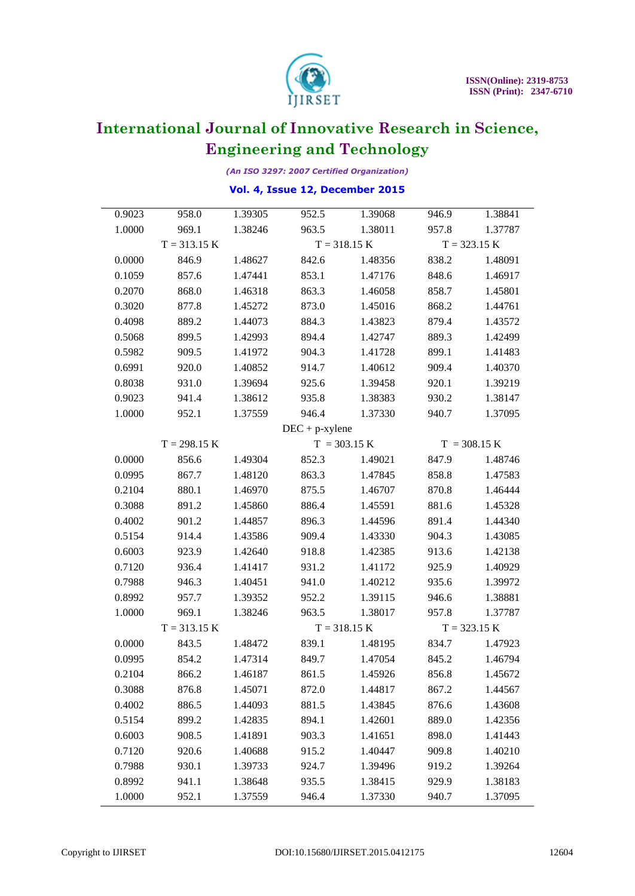

*(An ISO 3297: 2007 Certified Organization)*

### **Vol. 4, Issue 12, December 2015**

| 0.9023 | 958.0            | 1.39305 | 952.5             | 1.39068        | 946.9          | 1.38841 |  |
|--------|------------------|---------|-------------------|----------------|----------------|---------|--|
| 1.0000 | 969.1<br>1.38246 |         | 1.38011<br>963.5  |                | 957.8          | 1.37787 |  |
|        | $T = 313.15 K$   |         |                   | $T = 318.15 K$ | $T = 323.15 K$ |         |  |
| 0.0000 | 846.9            | 1.48627 | 842.6             | 1.48356        | 838.2          | 1.48091 |  |
| 0.1059 | 857.6            | 1.47441 | 853.1             | 1.47176        |                | 1.46917 |  |
| 0.2070 | 868.0            | 1.46318 | 863.3             | 1.46058        | 858.7          | 1.45801 |  |
| 0.3020 | 877.8            | 1.45272 | 873.0             | 1.45016        | 868.2          | 1.44761 |  |
| 0.4098 | 889.2            | 1.44073 | 884.3             | 1.43823        | 879.4          | 1.43572 |  |
| 0.5068 | 899.5            | 1.42993 | 894.4             | 1.42747        | 889.3          | 1.42499 |  |
| 0.5982 | 909.5            | 1.41972 | 904.3             | 1.41728        |                | 1.41483 |  |
| 0.6991 | 920.0            | 1.40852 | 914.7             | 1.40612        | 909.4          | 1.40370 |  |
| 0.8038 | 931.0            | 1.39694 | 925.6             | 1.39458        | 920.1          | 1.39219 |  |
| 0.9023 | 941.4            | 1.38612 | 935.8             | 1.38383        | 930.2          | 1.38147 |  |
| 1.0000 | 952.1            | 1.37559 | 946.4             | 1.37330        | 940.7          | 1.37095 |  |
|        |                  |         | $DEC + p$ -xylene |                |                |         |  |
|        | $T = 298.15 K$   |         | $T = 303.15 K$    |                | $T = 308.15 K$ |         |  |
| 0.0000 | 856.6            | 1.49304 | 852.3             | 1.49021        | 847.9          | 1.48746 |  |
| 0.0995 | 867.7            | 1.48120 | 863.3             | 1.47845        | 858.8          | 1.47583 |  |
| 0.2104 | 880.1            | 1.46970 | 875.5             | 1.46707        | 870.8          | 1.46444 |  |
| 0.3088 | 891.2            | 1.45860 | 886.4             | 1.45591        | 881.6          | 1.45328 |  |
| 0.4002 | 901.2            | 1.44857 | 896.3             | 1.44596        | 891.4          | 1.44340 |  |
| 0.5154 | 914.4            | 1.43586 | 909.4             | 1.43330        | 904.3          | 1.43085 |  |
| 0.6003 | 923.9            | 1.42640 | 918.8             | 1.42385        | 913.6          | 1.42138 |  |
| 0.7120 | 936.4            | 1.41417 | 931.2             | 1.41172        | 925.9          | 1.40929 |  |
| 0.7988 | 946.3            | 1.40451 | 941.0             | 1.40212        | 935.6          | 1.39972 |  |
| 0.8992 | 957.7            | 1.39352 | 952.2             | 1.39115        | 946.6          | 1.38881 |  |
| 1.0000 | 969.1            | 1.38246 | 963.5             | 1.38017        | 957.8          | 1.37787 |  |
|        | $T = 313.15 K$   |         | $T = 318.15 K$    |                | $T = 323.15 K$ |         |  |
| 0.0000 | 843.5            | 1.48472 | 839.1             | 1.48195        | 834.7          | 1.47923 |  |
| 0.0995 | 854.2            | 1.47314 | 849.7             | 1.47054        | 845.2          | 1.46794 |  |
| 0.2104 | 866.2            | 1.46187 | 861.5             | 1.45926        | 856.8          | 1.45672 |  |
| 0.3088 | 876.8            | 1.45071 | 872.0             | 1.44817        | 867.2          | 1.44567 |  |
| 0.4002 | 886.5            | 1.44093 | 881.5             | 1.43845        | 876.6          | 1.43608 |  |
| 0.5154 | 899.2            | 1.42835 | 894.1             | 1.42601        | 889.0          | 1.42356 |  |
| 0.6003 | 908.5            | 1.41891 | 903.3             | 1.41651        | 898.0          | 1.41443 |  |
| 0.7120 | 920.6            | 1.40688 | 915.2             | 1.40447        | 909.8          | 1.40210 |  |
| 0.7988 | 930.1            | 1.39733 | 924.7             | 1.39496        | 919.2          | 1.39264 |  |
| 0.8992 | 941.1            | 1.38648 | 935.5             | 1.38415        | 929.9          | 1.38183 |  |
| 1.0000 | 952.1            | 1.37559 | 946.4             | 1.37330        | 940.7          | 1.37095 |  |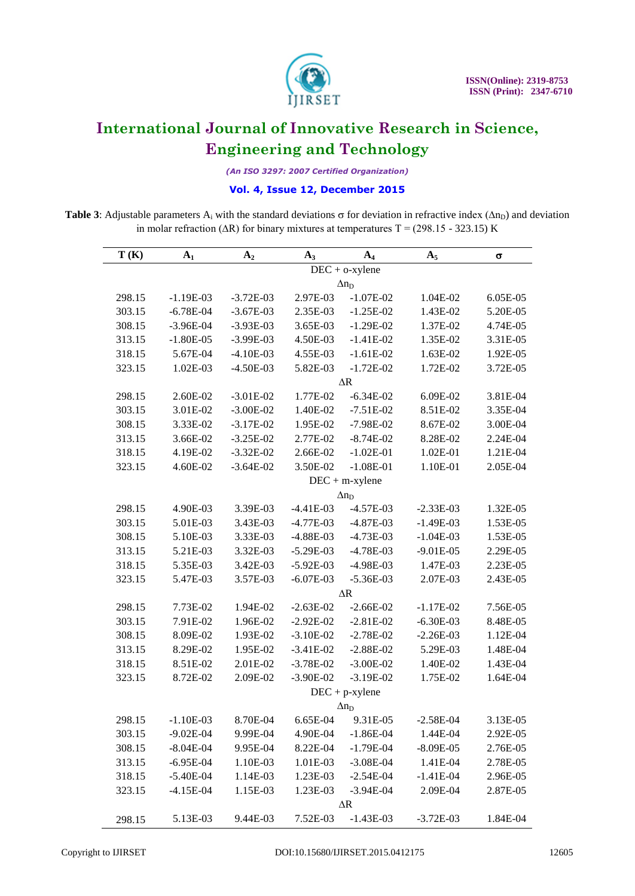

*(An ISO 3297: 2007 Certified Organization)*

### **Vol. 4, Issue 12, December 2015**

**Table 3**: Adjustable parameters A<sub>i</sub> with the standard deviations  $\sigma$  for deviation in refractive index ( $\Delta n_D$ ) and deviation in molar refraction ( $\Delta R$ ) for binary mixtures at temperatures T = (298.15 - 323.15) K

| T(K)   | $A_1$             | A <sub>2</sub><br>$A_3$<br>$A_4$ |             | A <sub>5</sub>    | $\sigma$    |          |  |  |
|--------|-------------------|----------------------------------|-------------|-------------------|-------------|----------|--|--|
|        | $DEC + o$ -xylene |                                  |             |                   |             |          |  |  |
|        |                   | $\Delta n_D$                     |             |                   |             |          |  |  |
| 298.15 | $-1.19E-03$       | $-3.72E-03$                      | 2.97E-03    | $-1.07E-02$       | 1.04E-02    | 6.05E-05 |  |  |
| 303.15 | $-6.78E-04$       | $-3.67E-03$                      | 2.35E-03    | $-1.25E-02$       | 1.43E-02    | 5.20E-05 |  |  |
| 308.15 | $-3.96E-04$       | $-3.93E-03$                      | 3.65E-03    | $-1.29E-02$       | 1.37E-02    | 4.74E-05 |  |  |
| 313.15 | $-1.80E-05$       | $-3.99E-03$                      | 4.50E-03    | $-1.41E-02$       | 1.35E-02    | 3.31E-05 |  |  |
| 318.15 | 5.67E-04          | $-4.10E-03$                      | 4.55E-03    | $-1.61E-02$       | 1.63E-02    | 1.92E-05 |  |  |
| 323.15 | 1.02E-03          | $-4.50E-03$                      | 5.82E-03    | $-1.72E-02$       | 1.72E-02    | 3.72E-05 |  |  |
|        |                   |                                  |             | $\Delta R$        |             |          |  |  |
| 298.15 | 2.60E-02          | $-3.01E-02$                      | 1.77E-02    | $-6.34E-02$       | 6.09E-02    | 3.81E-04 |  |  |
| 303.15 | 3.01E-02          | $-3.00E-02$                      | 1.40E-02    | $-7.51E-02$       | 8.51E-02    | 3.35E-04 |  |  |
| 308.15 | 3.33E-02          | $-3.17E-02$                      | 1.95E-02    | $-7.98E-02$       | 8.67E-02    | 3.00E-04 |  |  |
| 313.15 | 3.66E-02          | $-3.25E-02$                      | 2.77E-02    | $-8.74E-02$       | 8.28E-02    | 2.24E-04 |  |  |
| 318.15 | 4.19E-02          | $-3.32E-02$                      | 2.66E-02    | $-1.02E-01$       | 1.02E-01    | 1.21E-04 |  |  |
| 323.15 | 4.60E-02          | $-3.64E-02$                      | 3.50E-02    | $-1.08E-01$       | 1.10E-01    | 2.05E-04 |  |  |
|        |                   |                                  |             | $DEC + m$ -xylene |             |          |  |  |
|        |                   |                                  |             | $\Delta n_D$      |             |          |  |  |
| 298.15 | 4.90E-03          | 3.39E-03                         | $-4.41E-03$ | $-4.57E-03$       | $-2.33E-03$ | 1.32E-05 |  |  |
| 303.15 | 5.01E-03          | 3.43E-03                         | $-4.77E-03$ | $-4.87E-03$       | $-1.49E-03$ | 1.53E-05 |  |  |
| 308.15 | 5.10E-03          | 3.33E-03                         | $-4.88E-03$ | $-4.73E-03$       | $-1.04E-03$ | 1.53E-05 |  |  |
| 313.15 | 5.21E-03          | 3.32E-03                         | $-5.29E-03$ | $-4.78E-03$       | $-9.01E-05$ | 2.29E-05 |  |  |
| 318.15 | 5.35E-03          | 3.42E-03                         | $-5.92E-03$ | $-4.98E-03$       | 1.47E-03    | 2.23E-05 |  |  |
| 323.15 | 5.47E-03          | 3.57E-03                         | $-6.07E-03$ | $-5.36E-03$       | 2.07E-03    | 2.43E-05 |  |  |
|        |                   |                                  |             | $\Delta R$        |             |          |  |  |
| 298.15 | 7.73E-02          | 1.94E-02                         | $-2.63E-02$ | $-2.66E-02$       | $-1.17E-02$ | 7.56E-05 |  |  |
| 303.15 | 7.91E-02          | 1.96E-02                         | $-2.92E-02$ | $-2.81E-02$       | $-6.30E-03$ | 8.48E-05 |  |  |
| 308.15 | 8.09E-02          | 1.93E-02                         | $-3.10E-02$ | $-2.78E-02$       | $-2.26E-03$ | 1.12E-04 |  |  |
| 313.15 | 8.29E-02          | 1.95E-02                         | $-3.41E-02$ | $-2.88E-02$       | 5.29E-03    | 1.48E-04 |  |  |
| 318.15 | 8.51E-02          | 2.01E-02                         | $-3.78E-02$ | $-3.00E-02$       | 1.40E-02    | 1.43E-04 |  |  |
| 323.15 | 8.72E-02          | 2.09E-02                         | $-3.90E-02$ | $-3.19E-02$       | 1.75E-02    | 1.64E-04 |  |  |
|        |                   |                                  |             | $DEC + p$ -xylene |             |          |  |  |
|        |                   |                                  |             | $\Delta n_D$      |             |          |  |  |
| 298.15 | $-1.10E-03$       | 8.70E-04                         | 6.65E-04    | 9.31E-05          | $-2.58E-04$ | 3.13E-05 |  |  |
| 303.15 | $-9.02E-04$       | 9.99E-04                         | 4.90E-04    | $-1.86E-04$       | 1.44E-04    | 2.92E-05 |  |  |
| 308.15 | $-8.04E-04$       | 9.95E-04                         | 8.22E-04    | $-1.79E-04$       | $-8.09E-05$ | 2.76E-05 |  |  |
| 313.15 | $-6.95E-04$       | 1.10E-03                         | 1.01E-03    | $-3.08E-04$       | 1.41E-04    | 2.78E-05 |  |  |
| 318.15 | $-5.40E-04$       | 1.14E-03                         | 1.23E-03    | $-2.54E-04$       | $-1.41E-04$ | 2.96E-05 |  |  |
| 323.15 | $-4.15E-04$       | 1.15E-03                         | 1.23E-03    | $-3.94E-04$       | 2.09E-04    | 2.87E-05 |  |  |
|        |                   |                                  |             | $\Delta R$        |             |          |  |  |
| 298.15 | 5.13E-03          | 9.44E-03                         | 7.52E-03    | $-1.43E-03$       | $-3.72E-03$ | 1.84E-04 |  |  |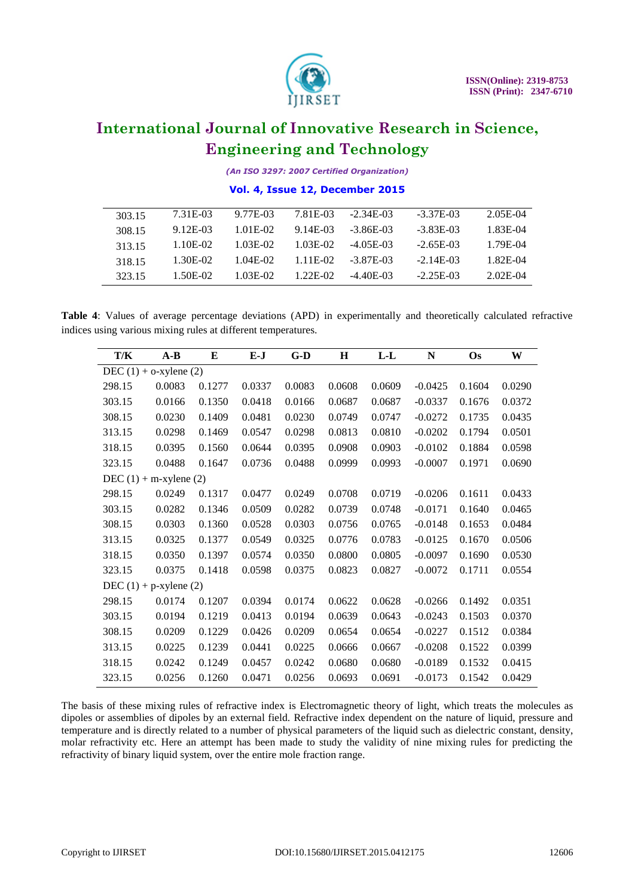

*(An ISO 3297: 2007 Certified Organization)*

### **Vol. 4, Issue 12, December 2015**

| 303.15 | 7.31E-03 | 9.77E-03 | 7.81E-03 | $-2.34E-03$ | $-3.37E-03$ | $2.05E-04$ |
|--------|----------|----------|----------|-------------|-------------|------------|
| 308.15 | 9.12E-03 | 1.01E-02 | 9.14E-03 | $-3.86E-03$ | $-3.83E-03$ | 1.83E-04   |
| 313.15 | 1.10E-02 | 1.03E-02 | 1.03E-02 | $-4.05E-03$ | $-2.65E-03$ | 1.79E-04   |
| 318.15 | 1.30E-02 | 1.04E-02 | 1.11E-02 | -3 87E-03   | $-2.14E-03$ | 1.82E-04   |
| 323.15 | 1.50E-02 | 1.03E-02 | 1.22E-02 | $-4.40E-03$ | $-2.25E-03$ | 2.02E-04   |

**Table 4**: Values of average percentage deviations (APD) in experimentally and theoretically calculated refractive indices using various mixing rules at different temperatures.

| T/K                         | $A-B$                      | E      | $E-J$  | $G-D$  | $\mathbf H$ | $L-L$  | N         | Os     | W      |
|-----------------------------|----------------------------|--------|--------|--------|-------------|--------|-----------|--------|--------|
| DEC $(1) + o$ -xylene $(2)$ |                            |        |        |        |             |        |           |        |        |
| 298.15                      | 0.0083                     | 0.1277 | 0.0337 | 0.0083 | 0.0608      | 0.0609 | $-0.0425$ | 0.1604 | 0.0290 |
| 303.15                      | 0.0166                     | 0.1350 | 0.0418 | 0.0166 | 0.0687      | 0.0687 | $-0.0337$ | 0.1676 | 0.0372 |
| 308.15                      | 0.0230                     | 0.1409 | 0.0481 | 0.0230 | 0.0749      | 0.0747 | $-0.0272$ | 0.1735 | 0.0435 |
| 313.15                      | 0.0298                     | 0.1469 | 0.0547 | 0.0298 | 0.0813      | 0.0810 | $-0.0202$ | 0.1794 | 0.0501 |
| 318.15                      | 0.0395                     | 0.1560 | 0.0644 | 0.0395 | 0.0908      | 0.0903 | $-0.0102$ | 0.1884 | 0.0598 |
| 323.15                      | 0.0488                     | 0.1647 | 0.0736 | 0.0488 | 0.0999      | 0.0993 | $-0.0007$ | 0.1971 | 0.0690 |
|                             | DEC $(1)$ + m-xylene $(2)$ |        |        |        |             |        |           |        |        |
| 298.15                      | 0.0249                     | 0.1317 | 0.0477 | 0.0249 | 0.0708      | 0.0719 | $-0.0206$ | 0.1611 | 0.0433 |
| 303.15                      | 0.0282                     | 0.1346 | 0.0509 | 0.0282 | 0.0739      | 0.0748 | $-0.0171$ | 0.1640 | 0.0465 |
| 308.15                      | 0.0303                     | 0.1360 | 0.0528 | 0.0303 | 0.0756      | 0.0765 | $-0.0148$ | 0.1653 | 0.0484 |
| 313.15                      | 0.0325                     | 0.1377 | 0.0549 | 0.0325 | 0.0776      | 0.0783 | $-0.0125$ | 0.1670 | 0.0506 |
| 318.15                      | 0.0350                     | 0.1397 | 0.0574 | 0.0350 | 0.0800      | 0.0805 | $-0.0097$ | 0.1690 | 0.0530 |
| 323.15                      | 0.0375                     | 0.1418 | 0.0598 | 0.0375 | 0.0823      | 0.0827 | $-0.0072$ | 0.1711 | 0.0554 |
| DEC $(1)$ + p-xylene $(2)$  |                            |        |        |        |             |        |           |        |        |
| 298.15                      | 0.0174                     | 0.1207 | 0.0394 | 0.0174 | 0.0622      | 0.0628 | $-0.0266$ | 0.1492 | 0.0351 |
| 303.15                      | 0.0194                     | 0.1219 | 0.0413 | 0.0194 | 0.0639      | 0.0643 | $-0.0243$ | 0.1503 | 0.0370 |
| 308.15                      | 0.0209                     | 0.1229 | 0.0426 | 0.0209 | 0.0654      | 0.0654 | $-0.0227$ | 0.1512 | 0.0384 |
| 313.15                      | 0.0225                     | 0.1239 | 0.0441 | 0.0225 | 0.0666      | 0.0667 | $-0.0208$ | 0.1522 | 0.0399 |
| 318.15                      | 0.0242                     | 0.1249 | 0.0457 | 0.0242 | 0.0680      | 0.0680 | $-0.0189$ | 0.1532 | 0.0415 |
| 323.15                      | 0.0256                     | 0.1260 | 0.0471 | 0.0256 | 0.0693      | 0.0691 | $-0.0173$ | 0.1542 | 0.0429 |

The basis of these mixing rules of refractive index is Electromagnetic theory of light, which treats the molecules as dipoles or assemblies of dipoles by an external field. Refractive index dependent on the nature of liquid, pressure and temperature and is directly related to a number of physical parameters of the liquid such as dielectric constant, density, molar refractivity etc. Here an attempt has been made to study the validity of nine mixing rules for predicting the refractivity of binary liquid system, over the entire mole fraction range.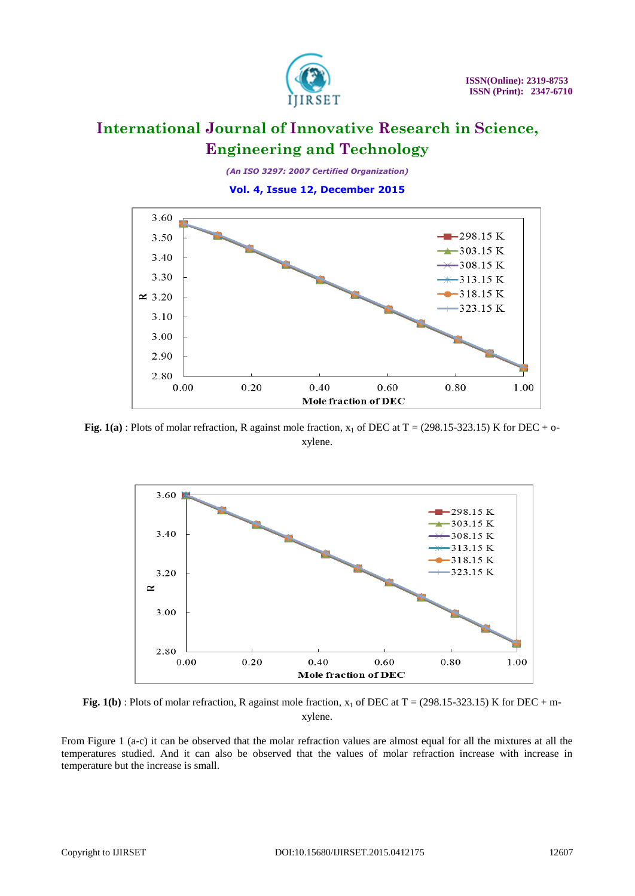

*(An ISO 3297: 2007 Certified Organization)*

**Vol. 4, Issue 12, December 2015**



**Fig.** 1(a) : Plots of molar refraction, R against mole fraction,  $x_1$  of DEC at T = (298.15-323.15) K for DEC + oxylene.





From Figure 1 (a-c) it can be observed that the molar refraction values are almost equal for all the mixtures at all the temperatures studied. And it can also be observed that the values of molar refraction increase with increase in temperature but the increase is small.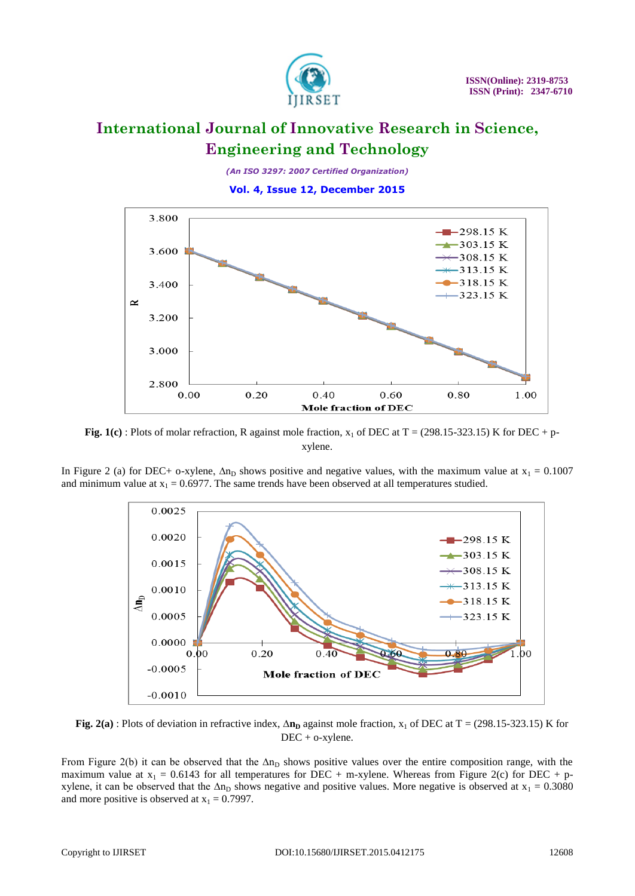

*(An ISO 3297: 2007 Certified Organization)*

**Vol. 4, Issue 12, December 2015**



**Fig.** 1(c) : Plots of molar refraction, R against mole fraction,  $x_1$  of DEC at T = (298.15-323.15) K for DEC + pxylene.

In Figure 2 (a) for DEC+ o-xylene,  $\Delta n_D$  shows positive and negative values, with the maximum value at  $x_1 = 0.1007$ and minimum value at  $x_1 = 0.6977$ . The same trends have been observed at all temperatures studied.



**Fig.** 2(a) : Plots of deviation in refractive index,  $\Delta n_p$  against mole fraction, x<sub>1</sub> of DEC at T = (298.15-323.15) K for DEC + o-xylene.

From Figure 2(b) it can be observed that the  $\Delta n_D$  shows positive values over the entire composition range, with the maximum value at  $x_1 = 0.6143$  for all temperatures for DEC + m-xylene. Whereas from Figure 2(c) for DEC + pxylene, it can be observed that the  $\Delta n_D$  shows negative and positive values. More negative is observed at  $x_1 = 0.3080$ and more positive is observed at  $x_1 = 0.7997$ .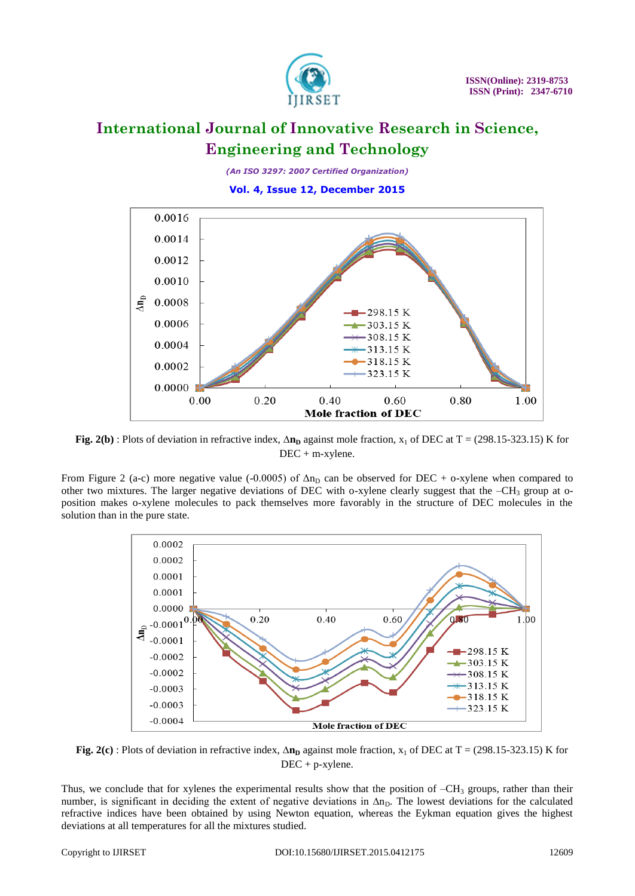

*(An ISO 3297: 2007 Certified Organization)*

**Vol. 4, Issue 12, December 2015**



**Fig. 2(b)**: Plots of deviation in refractive index,  $\Delta n_p$  against mole fraction, x<sub>1</sub> of DEC at T = (298.15-323.15) K for DEC + m-xylene.

From Figure 2 (a-c) more negative value (-0.0005) of  $\Delta n_D$  can be observed for DEC + o-xylene when compared to other two mixtures. The larger negative deviations of DEC with o-xylene clearly suggest that the -CH<sub>3</sub> group at oposition makes o-xylene molecules to pack themselves more favorably in the structure of DEC molecules in the solution than in the pure state.



**Fig. 2(c)**: Plots of deviation in refractive index,  $\Delta n_p$  against mole fraction, x<sub>1</sub> of DEC at T = (298.15-323.15) K for DEC + p-xylene.

Thus, we conclude that for xylenes the experimental results show that the position of  $-CH<sub>3</sub>$  groups, rather than their number, is significant in deciding the extent of negative deviations in  $\Delta n_D$ . The lowest deviations for the calculated refractive indices have been obtained by using Newton equation, whereas the Eykman equation gives the highest deviations at all temperatures for all the mixtures studied.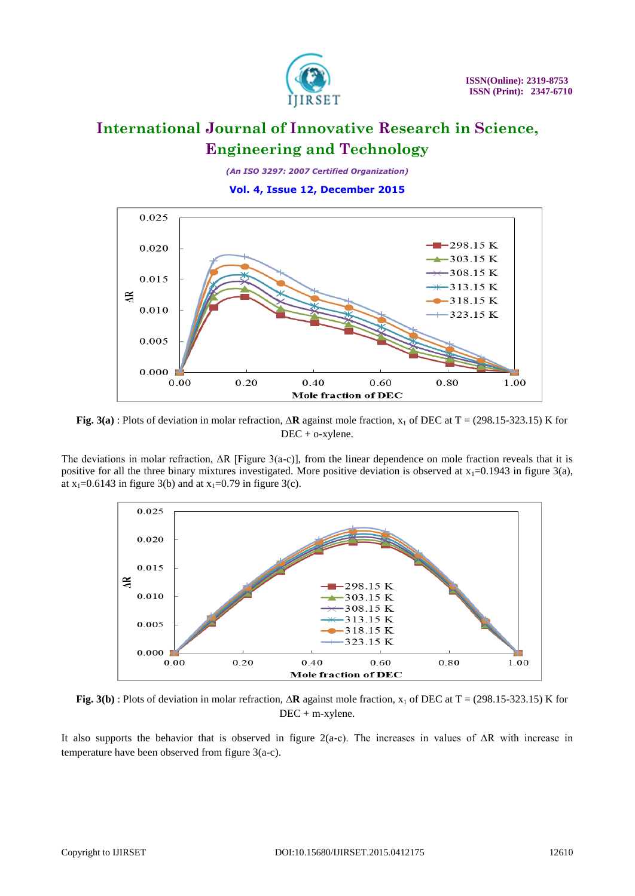

*(An ISO 3297: 2007 Certified Organization)*

**Vol. 4, Issue 12, December 2015**



**Fig. 3(a)** : Plots of deviation in molar refraction, **∆R** against mole fraction, x<sup>1</sup> of DEC at T = (298.15-323.15) K for DEC + o-xylene.

The deviations in molar refraction,  $\Delta R$  [Figure 3(a-c)], from the linear dependence on mole fraction reveals that it is positive for all the three binary mixtures investigated. More positive deviation is observed at  $x_1=0.1943$  in figure 3(a), at  $x_1=0.6143$  in figure 3(b) and at  $x_1=0.79$  in figure 3(c).



**Fig. 3(b)** : Plots of deviation in molar refraction, **∆R** against mole fraction, x<sup>1</sup> of DEC at T = (298.15-323.15) K for DEC + m-xylene.

It also supports the behavior that is observed in figure 2(a-c). The increases in values of ΔR with increase in temperature have been observed from figure 3(a-c).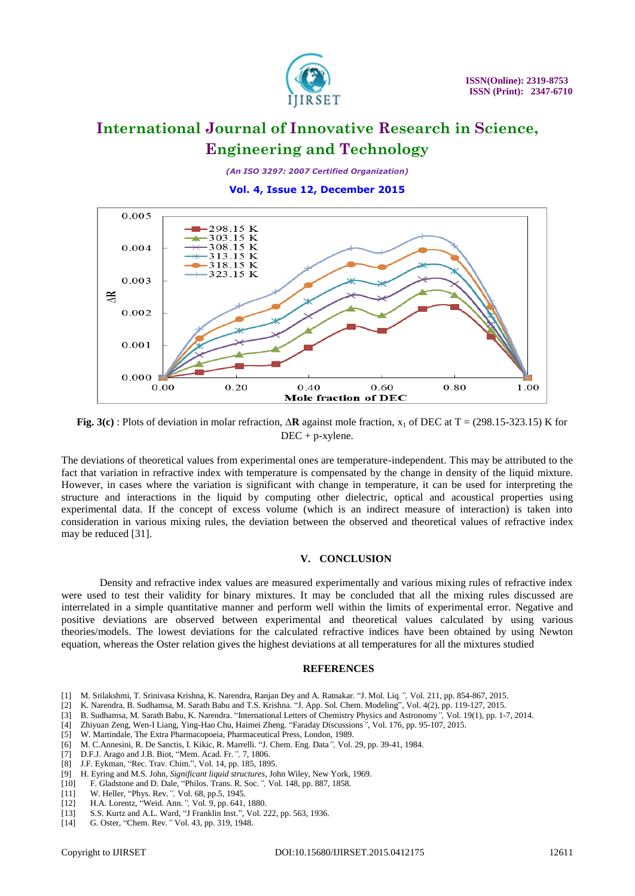

*(An ISO 3297: 2007 Certified Organization)*

**Vol. 4, Issue 12, December 2015**



**Fig. 3(c)** : Plots of deviation in molar refraction, **∆R** against mole fraction, x<sup>1</sup> of DEC at T = (298.15-323.15) K for DEC + p-xylene.

The deviations of theoretical values from experimental ones are temperature-independent. This may be attributed to the fact that variation in refractive index with temperature is compensated by the change in density of the liquid mixture. However, in cases where the variation is significant with change in temperature, it can be used for interpreting the structure and interactions in the liquid by computing other dielectric, optical and acoustical properties using experimental data. If the concept of excess volume (which is an indirect measure of interaction) is taken into consideration in various mixing rules, the deviation between the observed and theoretical values of refractive index may be reduced [31].

#### **V. CONCLUSION**

Density and refractive index values are measured experimentally and various mixing rules of refractive index were used to test their validity for binary mixtures. It may be concluded that all the mixing rules discussed are interrelated in a simple quantitative manner and perform well within the limits of experimental error. Negative and positive deviations are observed between experimental and theoretical values calculated by using various theories/models. The lowest deviations for the calculated refractive indices have been obtained by using Newton equation, whereas the Oster relation gives the highest deviations at all temperatures for all the mixtures studied

#### **REFERENCES**

- [1] M. Srilakshmi, T. Srinivasa Krishna, K. Narendra, Ranjan Dey and A. Ratnakar. "J. Mol. Liq*.",* Vol. 211, pp. 854-867, 2015.
- [2] K. Narendra, B. Sudhamsa, M. Sarath Babu and T.S. Krishna. "J. App. Sol. Chem. Modeling", Vol. 4(2), pp. 119-127, 2015.
- [3] B. Sudhamsa, M. Sarath Babu, K. Narendra. "International Letters of Chemistry Physics and Astronomy*",* Vol. 19(1), pp. 1-7, 2014.
- [4] Zhiyuan Zeng, Wen-I Liang, Ying-Hao Chu, Haimei Zheng. "Faraday Discussions*"*, Vol. 176, pp. 95-107, 2015.
- [5] W. Martindale, The Extra Pharmacopoeia, Pharmaceutical Press, London, 1989.
- [6] M. C.Annesini, R. De Sanctis, I. Kikic, R. Marrelli. "J. Chem. Eng. Data*",* Vol. 29, pp. 39-41, 1984.
- [7] D.F.J. Arago and J.B. Biot, "Mem. Acad. Fr.*",* 7, 1806.
- [8] J.F. Eykman, "Rec. Trav. Chim.", Vol. 14, pp. 185, 1895.
- [9] H. Eyring and M.S. John, *Significant liquid structures*, John Wiley, New York, 1969.
- [10] F. Gladstone and D. Dale, "Philos. Trans. R. Soc*.",* Vol. 148, pp. 887, 1858.
- [11] W. Heller, "Phys. Rev*.",* Vol. 68, pp.5, 1945.
- [12] H.A. Lorentz, "Weid. Ann*.",* Vol. 9, pp. 641, 1880.
- [13] S.S. Kurtz and A.L. Ward, "J Franklin Inst.", Vol. 222, pp. 563, 1936.
- [14] G. Oster, "Chem. Rev*."* Vol. 43, pp. 319, 1948.